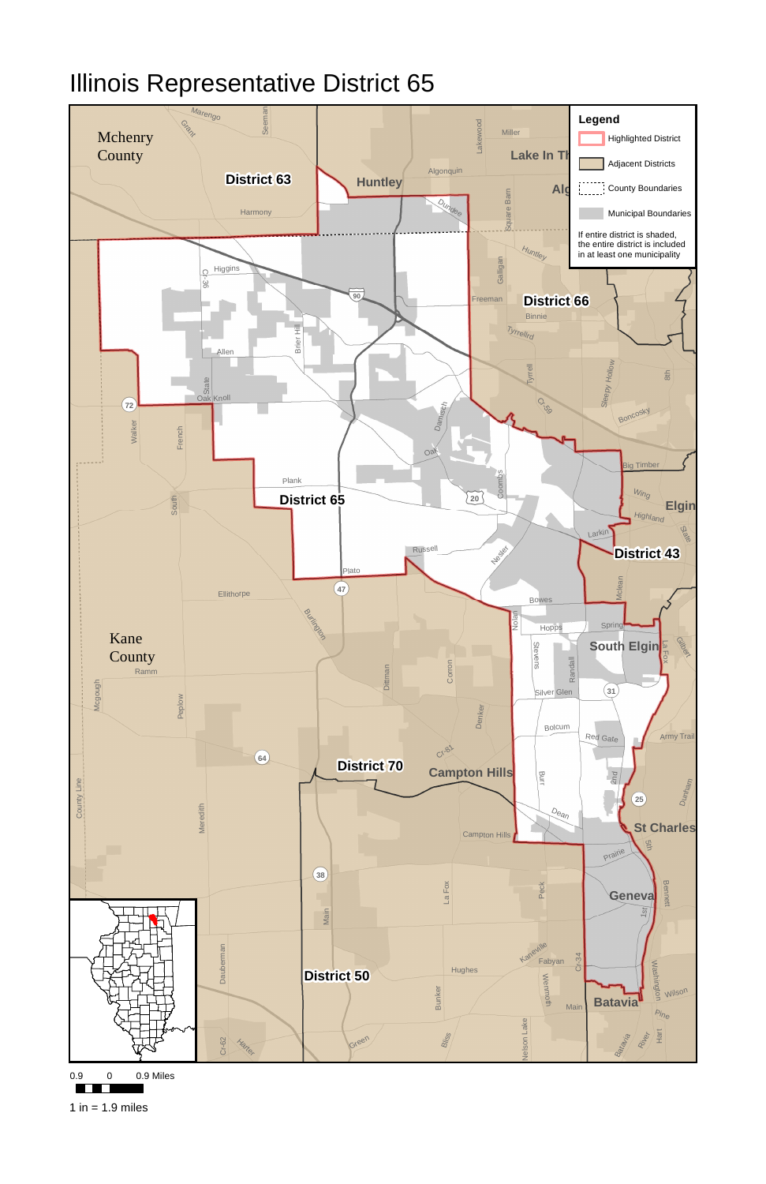

0.9 0.9 Miles

<u>e primeira e a </u>

1 in  $= 1.9$  miles

## Illinois Representative District 65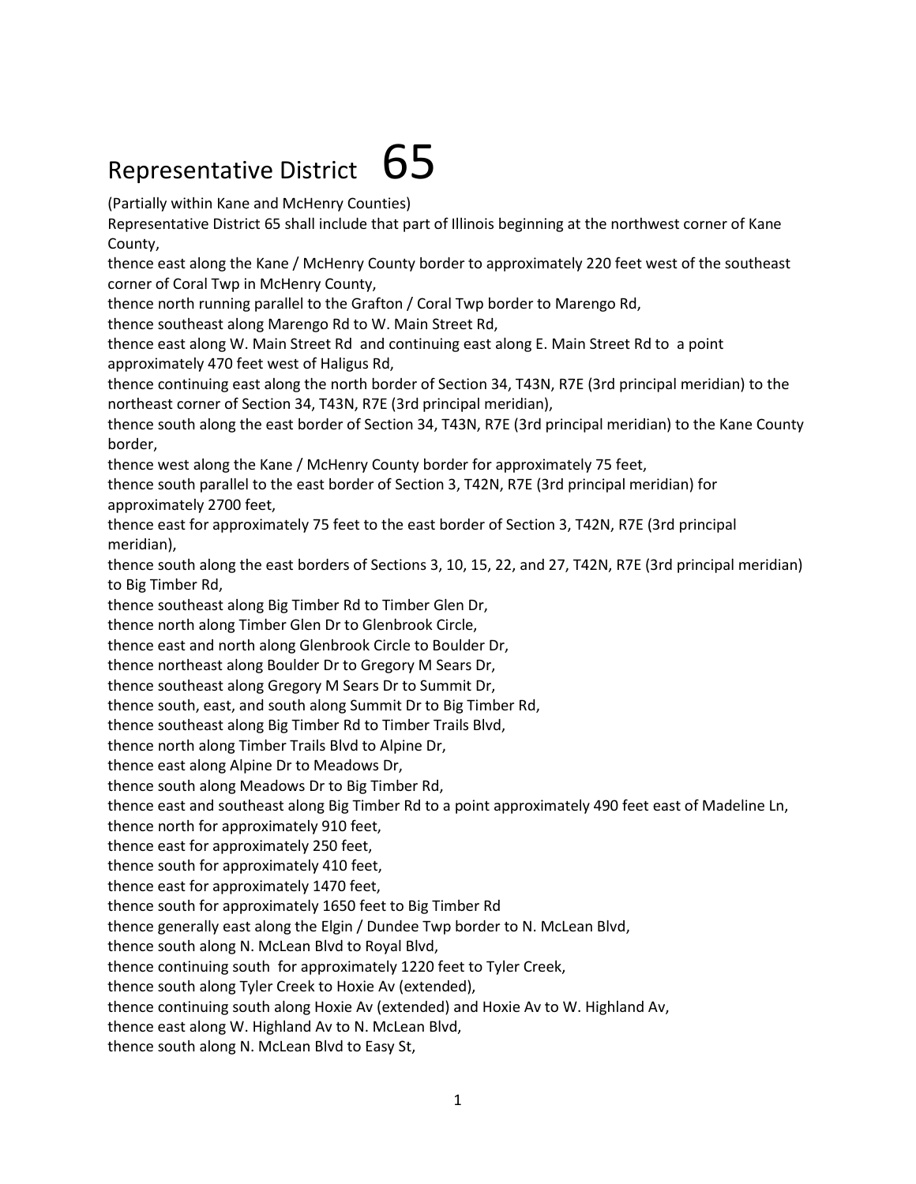## Representative District  $65$

(Partially within Kane and McHenry Counties)

Representative District 65 shall include that part of Illinois beginning at the northwest corner of Kane County,

thence east along the Kane / McHenry County border to approximately 220 feet west of the southeast corner of Coral Twp in McHenry County,

thence north running parallel to the Grafton / Coral Twp border to Marengo Rd,

thence southeast along Marengo Rd to W. Main Street Rd,

thence east along W. Main Street Rd and continuing east along E. Main Street Rd to a point approximately 470 feet west of Haligus Rd,

thence continuing east along the north border of Section 34, T43N, R7E (3rd principal meridian) to the northeast corner of Section 34, T43N, R7E (3rd principal meridian),

thence south along the east border of Section 34, T43N, R7E (3rd principal meridian) to the Kane County border,

thence west along the Kane / McHenry County border for approximately 75 feet,

thence south parallel to the east border of Section 3, T42N, R7E (3rd principal meridian) for approximately 2700 feet,

thence east for approximately 75 feet to the east border of Section 3, T42N, R7E (3rd principal meridian),

thence south along the east borders of Sections 3, 10, 15, 22, and 27, T42N, R7E (3rd principal meridian) to Big Timber Rd,

thence southeast along Big Timber Rd to Timber Glen Dr,

thence north along Timber Glen Dr to Glenbrook Circle,

thence east and north along Glenbrook Circle to Boulder Dr,

thence northeast along Boulder Dr to Gregory M Sears Dr,

thence southeast along Gregory M Sears Dr to Summit Dr,

thence south, east, and south along Summit Dr to Big Timber Rd,

thence southeast along Big Timber Rd to Timber Trails Blvd,

thence north along Timber Trails Blvd to Alpine Dr,

thence east along Alpine Dr to Meadows Dr,

thence south along Meadows Dr to Big Timber Rd,

thence east and southeast along Big Timber Rd to a point approximately 490 feet east of Madeline Ln,

thence north for approximately 910 feet,

thence east for approximately 250 feet,

thence south for approximately 410 feet,

thence east for approximately 1470 feet,

thence south for approximately 1650 feet to Big Timber Rd

thence generally east along the Elgin / Dundee Twp border to N. McLean Blvd,

thence south along N. McLean Blvd to Royal Blvd,

thence continuing south for approximately 1220 feet to Tyler Creek,

thence south along Tyler Creek to Hoxie Av (extended),

thence continuing south along Hoxie Av (extended) and Hoxie Av to W. Highland Av,

thence east along W. Highland Av to N. McLean Blvd,

thence south along N. McLean Blvd to Easy St,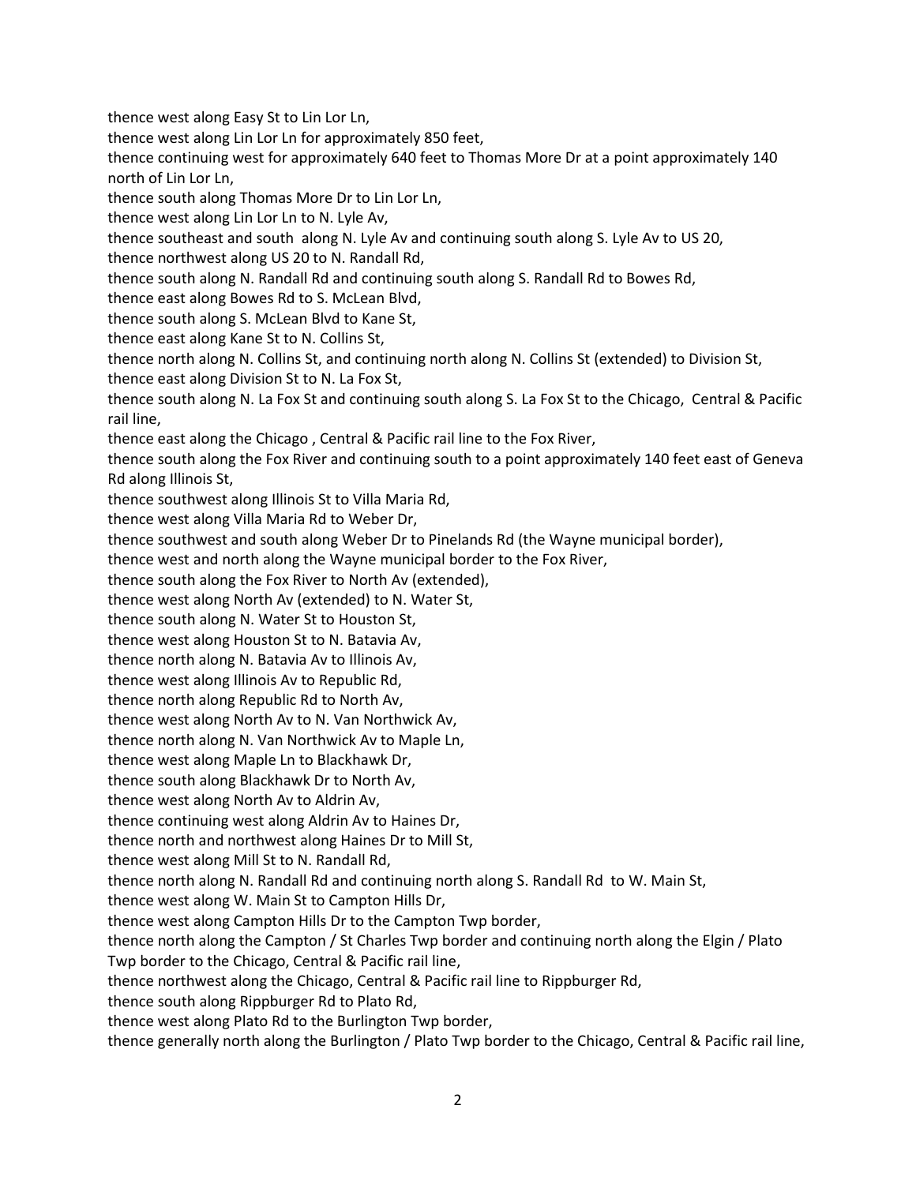thence west along Easy St to Lin Lor Ln,

thence west along Lin Lor Ln for approximately 850 feet,

thence continuing west for approximately 640 feet to Thomas More Dr at a point approximately 140 north of Lin Lor Ln,

thence south along Thomas More Dr to Lin Lor Ln,

thence west along Lin Lor Ln to N. Lyle Av,

thence southeast and south along N. Lyle Av and continuing south along S. Lyle Av to US 20,

thence northwest along US 20 to N. Randall Rd,

thence south along N. Randall Rd and continuing south along S. Randall Rd to Bowes Rd,

thence east along Bowes Rd to S. McLean Blvd,

thence south along S. McLean Blvd to Kane St,

thence east along Kane St to N. Collins St,

thence north along N. Collins St, and continuing north along N. Collins St (extended) to Division St, thence east along Division St to N. La Fox St,

thence south along N. La Fox St and continuing south along S. La Fox St to the Chicago, Central & Pacific rail line,

thence east along the Chicago , Central & Pacific rail line to the Fox River,

thence south along the Fox River and continuing south to a point approximately 140 feet east of Geneva Rd along Illinois St,

thence southwest along Illinois St to Villa Maria Rd,

thence west along Villa Maria Rd to Weber Dr,

thence southwest and south along Weber Dr to Pinelands Rd (the Wayne municipal border),

thence west and north along the Wayne municipal border to the Fox River,

thence south along the Fox River to North Av (extended),

thence west along North Av (extended) to N. Water St,

thence south along N. Water St to Houston St,

thence west along Houston St to N. Batavia Av,

thence north along N. Batavia Av to Illinois Av,

thence west along Illinois Av to Republic Rd,

thence north along Republic Rd to North Av,

thence west along North Av to N. Van Northwick Av,

thence north along N. Van Northwick Av to Maple Ln,

thence west along Maple Ln to Blackhawk Dr,

thence south along Blackhawk Dr to North Av,

thence west along North Av to Aldrin Av,

thence continuing west along Aldrin Av to Haines Dr,

thence north and northwest along Haines Dr to Mill St,

thence west along Mill St to N. Randall Rd,

thence north along N. Randall Rd and continuing north along S. Randall Rd to W. Main St,

thence west along W. Main St to Campton Hills Dr,

thence west along Campton Hills Dr to the Campton Twp border,

thence north along the Campton / St Charles Twp border and continuing north along the Elgin / Plato

Twp border to the Chicago, Central & Pacific rail line,

thence northwest along the Chicago, Central & Pacific rail line to Rippburger Rd,

thence south along Rippburger Rd to Plato Rd,

thence west along Plato Rd to the Burlington Twp border,

thence generally north along the Burlington / Plato Twp border to the Chicago, Central & Pacific rail line,